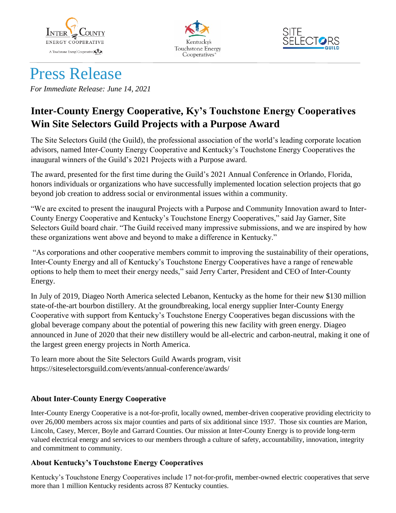





# Press Release

*For Immediate Release: June 14, 2021*

## **Inter-County Energy Cooperative, Ky's Touchstone Energy Cooperatives Win Site Selectors Guild Projects with a Purpose Award**

The Site Selectors Guild (the Guild), the professional association of the world's leading corporate location advisors, named Inter-County Energy Cooperative and Kentucky's Touchstone Energy Cooperatives the inaugural winners of the Guild's 2021 Projects with a Purpose award.

The award, presented for the first time during the Guild's 2021 Annual Conference in Orlando, Florida, honors individuals or organizations who have successfully implemented location selection projects that go beyond job creation to address social or environmental issues within a community.

"We are excited to present the inaugural Projects with a Purpose and Community Innovation award to Inter-County Energy Cooperative and Kentucky's Touchstone Energy Cooperatives," said Jay Garner, Site Selectors Guild board chair. "The Guild received many impressive submissions, and we are inspired by how these organizations went above and beyond to make a difference in Kentucky."

"As corporations and other cooperative members commit to improving the sustainability of their operations, Inter-County Energy and all of Kentucky's Touchstone Energy Cooperatives have a range of renewable options to help them to meet their energy needs," said Jerry Carter, President and CEO of Inter-County Energy.

In July of 2019, Diageo North America selected Lebanon, Kentucky as the home for their new \$130 million state-of-the-art bourbon distillery. At the groundbreaking, local energy supplier Inter-County Energy Cooperative with support from Kentucky's Touchstone Energy Cooperatives began discussions with the global beverage company about the potential of powering this new facility with green energy. Diageo announced in June of 2020 that their new distillery would be all-electric and carbon-neutral, making it one of the largest green energy projects in North America.

To learn more about the Site Selectors Guild Awards program, visit https://siteselectorsguild.com/events/annual-conference/awards/

### **About Inter-County Energy Cooperative**

Inter-County Energy Cooperative is a not-for-profit, locally owned, member-driven cooperative providing electricity to over 26,000 members across six major counties and parts of six additional since 1937. Those six counties are Marion, Lincoln, Casey, Mercer, Boyle and Garrard Counties. Our mission at Inter-County Energy is to provide long-term valued electrical energy and services to our members through a culture of safety, accountability, innovation, integrity and commitment to community.

#### **About Kentucky's Touchstone Energy Cooperatives**

Kentucky's Touchstone Energy Cooperatives include 17 not-for-profit, member-owned electric cooperatives that serve more than 1 million Kentucky residents across 87 Kentucky counties.